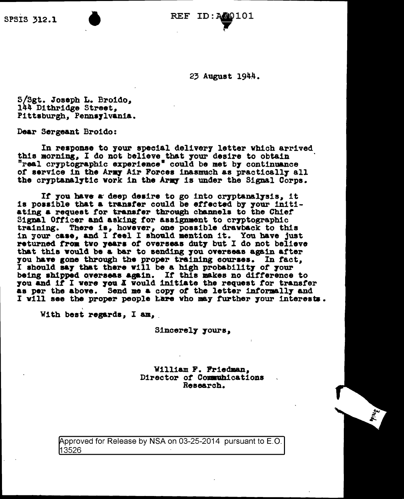23 August 1944.

S/Sgt. Joseph L. Broido, 144 Dithridge Street, Pittsburgh, Pennsylvania.

Dear Sergeant Broido:

In response to your special delivery letter which arrived this morning, I do not believe that your desire to obtain "real cryptographic experience" could be met by continuance of service in the Army Air Forces inasmuch as practically all the cryptanalytic work in the Army is under the Signal Corps.

If you have a deep desire to go into cryptanalysis, it is possible that a transfer could be effected by your initiating a request for transfer through channels to the Chief Signal Officer and asking for assignment to cryptographic training. There is, however, one possible drawback to this in your case, and I feel I should mention it. You have just returned from two years of overseas duty but I do not believe that this would be a bar to sending you overseas again after you have gone through the proper training courses. In fact, I should say that there will be a high probability of your being shipped overseas again. If this makes no difference to you and if I were you I would initiate the request for transfer as per the above. Send me a copy of the letter informally and I will see the proper people hare who may further your interests.

With best regards, I am,

Sincerely yours,

William F. Friedman, Director of Communications Research.

Approved for Release by NSA on 03-25-2014 pursuant to E.O. 13526